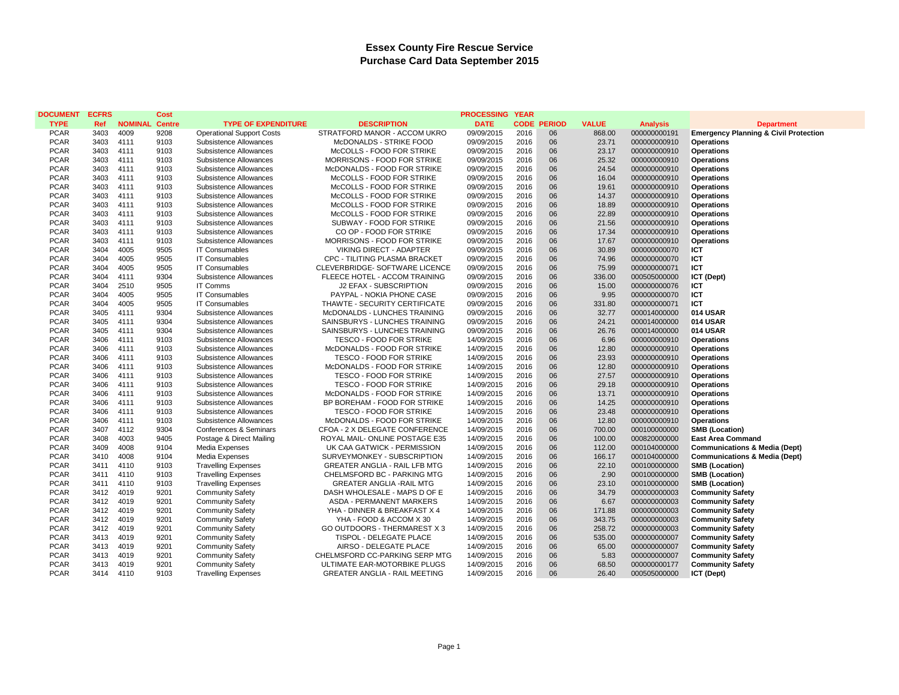| <b>DOCUMENT</b> | <b>ECFRS</b> |                | <b>Cost</b>   |                                  |                                      | <b>PROCESSING</b> | <b>YEAR</b> |               |              |                 |                                                  |
|-----------------|--------------|----------------|---------------|----------------------------------|--------------------------------------|-------------------|-------------|---------------|--------------|-----------------|--------------------------------------------------|
| <b>TYPE</b>     | Ref          | <b>NOMINAL</b> | <b>Centre</b> | <b>TYPE OF EXPENDITURE</b>       | <b>DESCRIPTION</b>                   | <b>DATE</b>       | <b>CODE</b> | <b>PERIOD</b> | <b>VALUE</b> | <b>Analysis</b> | <b>Department</b>                                |
| <b>PCAR</b>     | 3403         | 4009           | 9208          | <b>Operational Support Costs</b> | STRATFORD MANOR - ACCOM UKRO         | 09/09/2015        | 2016        | 06            | 868.00       | 000000000191    | <b>Emergency Planning &amp; Civil Protection</b> |
| <b>PCAR</b>     | 3403         | 4111           | 9103          | Subsistence Allowances           | McDONALDS - STRIKE FOOD              | 09/09/2015        | 2016        | 06            | 23.71        | 000000000910    | <b>Operations</b>                                |
| <b>PCAR</b>     | 3403         | 4111           | 9103          | Subsistence Allowances           | McCOLLS - FOOD FOR STRIKE            | 09/09/2015        | 2016        | 06            | 23.17        | 000000000910    | <b>Operations</b>                                |
| <b>PCAR</b>     | 3403         | 4111           | 9103          | Subsistence Allowances           | MORRISONS - FOOD FOR STRIKE          | 09/09/2015        | 2016        | 06            | 25.32        | 000000000910    | <b>Operations</b>                                |
| <b>PCAR</b>     | 3403         | 4111           | 9103          | Subsistence Allowances           | McDONALDS - FOOD FOR STRIKE          | 09/09/2015        | 2016        | 06            | 24.54        | 000000000910    | <b>Operations</b>                                |
| <b>PCAR</b>     | 3403         | 4111           | 9103          | Subsistence Allowances           | McCOLLS - FOOD FOR STRIKE            | 09/09/2015        | 2016        | 06            | 16.04        | 000000000910    | <b>Operations</b>                                |
| <b>PCAR</b>     | 3403         | 4111           | 9103          | Subsistence Allowances           | McCOLLS - FOOD FOR STRIKE            | 09/09/2015        | 2016        | 06            | 19.61        | 000000000910    | <b>Operations</b>                                |
| <b>PCAR</b>     | 3403         | 4111           | 9103          | Subsistence Allowances           | McCOLLS - FOOD FOR STRIKE            | 09/09/2015        | 2016        | 06            | 14.37        | 000000000910    | Operations                                       |
| <b>PCAR</b>     | 3403         | 4111           | 9103          | Subsistence Allowances           | McCOLLS - FOOD FOR STRIKE            | 09/09/2015        | 2016        | 06            | 18.89        | 000000000910    | <b>Operations</b>                                |
| <b>PCAR</b>     | 3403         | 4111           | 9103          | Subsistence Allowances           | McCOLLS - FOOD FOR STRIKE            | 09/09/2015        | 2016        | 06            | 22.89        | 000000000910    | <b>Operations</b>                                |
| <b>PCAR</b>     | 3403         | 4111           | 9103          | Subsistence Allowances           | SUBWAY - FOOD FOR STRIKE             | 09/09/2015        | 2016        | 06            | 21.56        | 000000000910    | <b>Operations</b>                                |
| <b>PCAR</b>     | 3403         | 4111           | 9103          | Subsistence Allowances           | CO OP - FOOD FOR STRIKE              | 09/09/2015        | 2016        | 06            | 17.34        | 000000000910    | <b>Operations</b>                                |
| <b>PCAR</b>     | 3403         | 4111           | 9103          | Subsistence Allowances           | <b>MORRISONS - FOOD FOR STRIKE</b>   | 09/09/2015        | 2016        | 06            | 17.67        | 000000000910    | <b>Operations</b>                                |
| <b>PCAR</b>     | 3404         | 4005           | 9505          | <b>IT Consumables</b>            | <b>VIKING DIRECT - ADAPTER</b>       | 09/09/2015        | 2016        | 06            | 30.89        | 000000000070    | ICT                                              |
| <b>PCAR</b>     | 3404         | 4005           | 9505          | <b>IT Consumables</b>            | CPC - TILITING PLASMA BRACKET        | 09/09/2015        | 2016        | 06            | 74.96        | 000000000070    | <b>ICT</b>                                       |
| <b>PCAR</b>     | 3404         | 4005           | 9505          | <b>IT Consumables</b>            | CLEVERBRIDGE- SOFTWARE LICENCE       | 09/09/2015        | 2016        | 06            | 75.99        | 000000000071    | <b>ICT</b>                                       |
| <b>PCAR</b>     | 3404         | 4111           | 9304          | Subsistence Allowances           | FLEECE HOTEL - ACCOM TRAINING        | 09/09/2015        | 2016        | 06            | 336.00       | 000505000000    | ICT (Dept)                                       |
| <b>PCAR</b>     | 3404         | 2510           | 9505          | <b>IT Comms</b>                  | J2 EFAX - SUBSCRIPTION               | 09/09/2015        | 2016        | 06            | 15.00        | 000000000076    | <b>ICT</b>                                       |
| <b>PCAR</b>     | 3404         | 4005           | 9505          | <b>IT Consumables</b>            | PAYPAL - NOKIA PHONE CASE            | 09/09/2015        | 2016        | 06            | 9.95         | 000000000070    | <b>ICT</b>                                       |
| <b>PCAR</b>     | 3404         | 4005           | 9505          | <b>IT Consumables</b>            | THAWTE - SECURITY CERTIFICATE        | 09/09/2015        | 2016        | 06            | 331.80       | 000000000071    | ICT                                              |
| <b>PCAR</b>     | 3405         | 4111           | 9304          | Subsistence Allowances           | McDONALDS - LUNCHES TRAINING         | 09/09/2015        | 2016        | 06            | 32.77        | 000014000000    | 014 USAR                                         |
| <b>PCAR</b>     | 3405         | 4111           | 9304          | Subsistence Allowances           | SAINSBURYS - LUNCHES TRAINING        | 09/09/2015        | 2016        | 06            | 24.21        | 000014000000    | 014 USAR                                         |
| <b>PCAR</b>     | 3405         | 4111           | 9304          | Subsistence Allowances           | SAINSBURYS - LUNCHES TRAINING        | 09/09/2015        | 2016        | 06            | 26.76        | 000014000000    | 014 USAR                                         |
| <b>PCAR</b>     | 3406         | 4111           | 9103          | Subsistence Allowances           | <b>TESCO - FOOD FOR STRIKE</b>       | 14/09/2015        | 2016        | 06            | 6.96         | 000000000910    | Operations                                       |
| <b>PCAR</b>     | 3406         | 4111           | 9103          | Subsistence Allowances           | McDONALDS - FOOD FOR STRIKE          | 14/09/2015        | 2016        | 06            | 12.80        | 000000000910    | <b>Operations</b>                                |
| <b>PCAR</b>     | 3406         | 4111           | 9103          | Subsistence Allowances           | <b>TESCO - FOOD FOR STRIKE</b>       | 14/09/2015        | 2016        | 06            | 23.93        | 000000000910    | <b>Operations</b>                                |
| <b>PCAR</b>     | 3406         | 4111           | 9103          | Subsistence Allowances           | McDONALDS - FOOD FOR STRIKE          | 14/09/2015        | 2016        | 06            | 12.80        | 000000000910    | <b>Operations</b>                                |
| <b>PCAR</b>     | 3406         | 4111           | 9103          | Subsistence Allowances           | TESCO - FOOD FOR STRIKE              | 14/09/2015        | 2016        | 06            | 27.57        | 000000000910    | <b>Operations</b>                                |
| <b>PCAR</b>     | 3406         | 4111           | 9103          | Subsistence Allowances           | <b>TESCO - FOOD FOR STRIKE</b>       | 14/09/2015        | 2016        | 06            | 29.18        | 000000000910    | Operations                                       |
| <b>PCAR</b>     | 3406         | 4111           | 9103          | Subsistence Allowances           | McDONALDS - FOOD FOR STRIKE          | 14/09/2015        | 2016        | 06            | 13.71        | 000000000910    | <b>Operations</b>                                |
| <b>PCAR</b>     | 3406         | 4111           | 9103          | Subsistence Allowances           | BP BOREHAM - FOOD FOR STRIKE         | 14/09/2015        | 2016        | 06            | 14.25        | 000000000910    | <b>Operations</b>                                |
| <b>PCAR</b>     | 3406         | 4111           | 9103          | Subsistence Allowances           | <b>TESCO - FOOD FOR STRIKE</b>       | 14/09/2015        | 2016        | 06            | 23.48        | 000000000910    | <b>Operations</b>                                |
| <b>PCAR</b>     | 3406         | 4111           | 9103          | Subsistence Allowances           | McDONALDS - FOOD FOR STRIKE          | 14/09/2015        | 2016        | 06            | 12.80        | 000000000910    | <b>Operations</b>                                |
| <b>PCAR</b>     | 3407         | 4112           | 9304          | Conferences & Seminars           | CFOA - 2 X DELEGATE CONFERENCE       | 14/09/2015        | 2016        | 06            | 700.00       | 000100000000    | <b>SMB (Location)</b>                            |
| <b>PCAR</b>     | 3408         | 4003           | 9405          | Postage & Direct Mailing         | ROYAL MAIL- ONLINE POSTAGE E35       | 14/09/2015        | 2016        | 06            | 100.00       | 000820000000    | <b>East Area Command</b>                         |
| <b>PCAR</b>     | 3409         | 4008           | 9104          | Media Expenses                   | UK CAA GATWICK - PERMISSION          | 14/09/2015        | 2016        | 06            | 112.00       | 000104000000    | <b>Communications &amp; Media (Dept)</b>         |
| <b>PCAR</b>     | 3410         | 4008           | 9104          | Media Expenses                   | SURVEYMONKEY - SUBSCRIPTION          | 14/09/2015        | 2016        | 06            | 166.17       | 000104000000    | <b>Communications &amp; Media (Dept)</b>         |
| <b>PCAR</b>     | 3411         | 4110           | 9103          | <b>Travelling Expenses</b>       | GREATER ANGLIA - RAIL LFB MTG        | 14/09/2015        | 2016        | 06            | 22.10        | 000100000000    | <b>SMB (Location)</b>                            |
| <b>PCAR</b>     | 3411         | 4110           | 9103          | <b>Travelling Expenses</b>       | CHELMSFORD BC - PARKING MTG          | 14/09/2015        | 2016        | 06            | 2.90         | 000100000000    | <b>SMB (Location)</b>                            |
| <b>PCAR</b>     | 3411         | 4110           | 9103          | <b>Travelling Expenses</b>       | <b>GREATER ANGLIA - RAIL MTG</b>     | 14/09/2015        | 2016        | 06            | 23.10        | 000100000000    | <b>SMB (Location)</b>                            |
| <b>PCAR</b>     | 3412         | 4019           | 9201          | <b>Community Safety</b>          | DASH WHOLESALE - MAPS D OF E         | 14/09/2015        | 2016        | 06            | 34.79        | 000000000003    | <b>Community Safety</b>                          |
| <b>PCAR</b>     | 3412         | 4019           | 9201          | <b>Community Safety</b>          | <b>ASDA - PERMANENT MARKERS</b>      | 14/09/2015        | 2016        | 06            | 6.67         | 000000000003    | <b>Community Safety</b>                          |
| <b>PCAR</b>     | 3412         | 4019           | 9201          | <b>Community Safety</b>          | YHA - DINNER & BREAKFAST X 4         | 14/09/2015        | 2016        | 06            | 171.88       | 000000000003    | <b>Community Safety</b>                          |
| <b>PCAR</b>     | 3412         | 4019           | 9201          | <b>Community Safety</b>          | YHA - FOOD & ACCOM X 30              | 14/09/2015        | 2016        | 06            | 343.75       | 000000000003    | <b>Community Safety</b>                          |
| <b>PCAR</b>     | 3412         | 4019           | 9201          | <b>Community Safety</b>          | GO OUTDOORS - THERMAREST X 3         | 14/09/2015        | 2016        | 06            | 258.72       | 000000000003    | <b>Community Safety</b>                          |
| <b>PCAR</b>     | 3413         | 4019           | 9201          | <b>Community Safety</b>          | <b>TISPOL - DELEGATE PLACE</b>       | 14/09/2015        | 2016        | 06            | 535.00       | 000000000007    | <b>Community Safety</b>                          |
| <b>PCAR</b>     | 3413         | 4019           | 9201          | <b>Community Safety</b>          | AIRSO - DELEGATE PLACE               | 14/09/2015        | 2016        | 06            | 65.00        | 000000000007    | <b>Community Safety</b>                          |
| <b>PCAR</b>     | 3413         | 4019           | 9201          | <b>Community Safety</b>          | CHELMSFORD CC-PARKING SERP MTG       | 14/09/2015        | 2016        | 06            | 5.83         | 000000000007    | <b>Community Safety</b>                          |
| <b>PCAR</b>     | 3413         | 4019           | 9201          | <b>Community Safety</b>          | ULTIMATE EAR-MOTORBIKE PLUGS         | 14/09/2015        | 2016        | 06            | 68.50        | 000000000177    | <b>Community Safety</b>                          |
| <b>PCAR</b>     | 3414         | 4110           | 9103          | <b>Travelling Expenses</b>       | <b>GREATER ANGLIA - RAIL MEETING</b> | 14/09/2015        | 2016        | 06            | 26.40        | 000505000000    | ICT (Dept)                                       |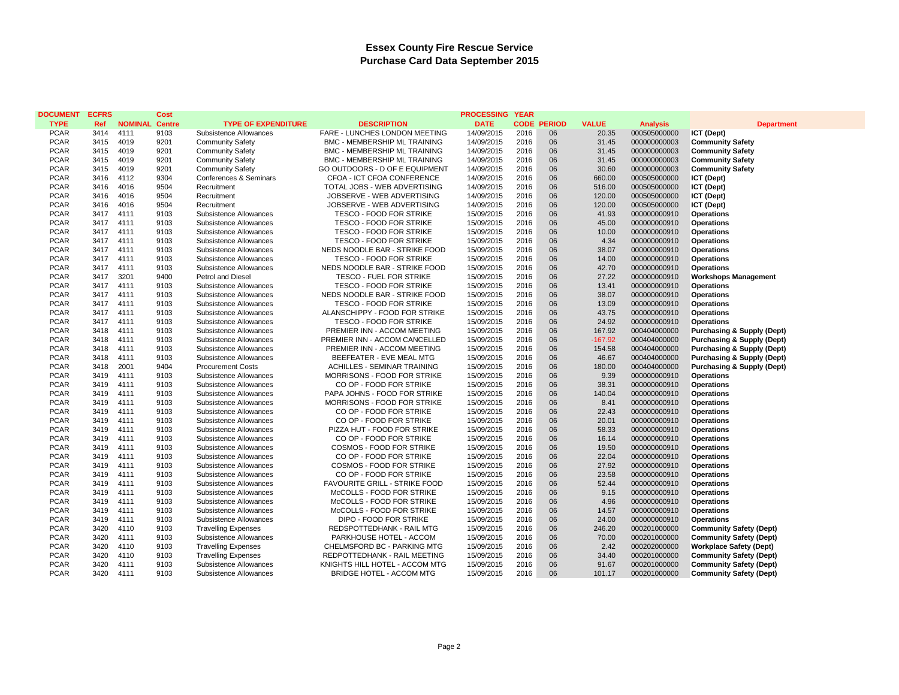| <b>DOCUMENT</b> | <b>ECFRS</b> |                | <b>Cost</b>   |                            |                                      | <b>PROCESSING</b> | <b>YEAR</b> |                    |              |                 |                                       |
|-----------------|--------------|----------------|---------------|----------------------------|--------------------------------------|-------------------|-------------|--------------------|--------------|-----------------|---------------------------------------|
| <b>TYPE</b>     | <b>Ref</b>   | <b>NOMINAL</b> | <b>Centre</b> | <b>TYPE OF EXPENDITURE</b> | <b>DESCRIPTION</b>                   | <b>DATE</b>       |             | <b>CODE PERIOD</b> | <b>VALUE</b> | <b>Analysis</b> | <b>Department</b>                     |
| <b>PCAR</b>     | 3414         | 4111           | 9103          | Subsistence Allowances     | FARE - LUNCHES LONDON MEETING        | 14/09/2015        | 2016        | 06                 | 20.35        | 000505000000    | ICT (Dept)                            |
| <b>PCAR</b>     | 3415         | 4019           | 9201          | <b>Community Safety</b>    | <b>BMC - MEMBERSHIP ML TRAINING</b>  | 14/09/2015        | 2016        | 06                 | 31.45        | 000000000003    | <b>Community Safety</b>               |
| <b>PCAR</b>     | 3415         | 4019           | 9201          | <b>Community Safety</b>    | <b>BMC - MEMBERSHIP ML TRAINING</b>  | 14/09/2015        | 2016        | 06                 | 31.45        | 000000000003    | <b>Community Safety</b>               |
| <b>PCAR</b>     | 3415         | 4019           | 9201          | <b>Community Safety</b>    | <b>BMC - MEMBERSHIP ML TRAINING</b>  | 14/09/2015        | 2016        | 06                 | 31.45        | 000000000003    | <b>Community Safety</b>               |
| <b>PCAR</b>     | 3415         | 4019           | 9201          | <b>Community Safety</b>    | GO OUTDOORS - D OF E EQUIPMENT       | 14/09/2015        | 2016        | 06                 | 30.60        | 000000000003    | <b>Community Safety</b>               |
| <b>PCAR</b>     | 3416         | 4112           | 9304          | Conferences & Seminars     | CFOA - ICT CFOA CONFERENCE           | 14/09/2015        | 2016        | 06                 | 660.00       | 000505000000    | ICT (Dept)                            |
| <b>PCAR</b>     | 3416         | 4016           | 9504          | Recruitment                | TOTAL JOBS - WEB ADVERTISING         | 14/09/2015        | 2016        | 06                 | 516.00       | 000505000000    | ICT (Dept)                            |
| <b>PCAR</b>     | 3416         | 4016           | 9504          | Recruitment                | JOBSERVE - WEB ADVERTISING           | 14/09/2015        | 2016        | 06                 | 120.00       | 000505000000    | ICT (Dept)                            |
| <b>PCAR</b>     | 3416         | 4016           | 9504          | Recruitment                | JOBSERVE - WEB ADVERTISING           | 14/09/2015        | 2016        | 06                 | 120.00       | 000505000000    | ICT (Dept)                            |
| <b>PCAR</b>     | 3417         | 4111           | 9103          | Subsistence Allowances     | <b>TESCO - FOOD FOR STRIKE</b>       | 15/09/2015        | 2016        | 06                 | 41.93        | 000000000910    | Operations                            |
| <b>PCAR</b>     | 3417         | 4111           | 9103          | Subsistence Allowances     | <b>TESCO - FOOD FOR STRIKE</b>       | 15/09/2015        | 2016        | 06                 | 45.00        | 000000000910    | Operations                            |
| <b>PCAR</b>     | 3417         | 4111           | 9103          | Subsistence Allowances     | <b>TESCO - FOOD FOR STRIKE</b>       | 15/09/2015        | 2016        | 06                 | 10.00        | 000000000910    | <b>Operations</b>                     |
| <b>PCAR</b>     | 3417         | 4111           | 9103          | Subsistence Allowances     | <b>TESCO - FOOD FOR STRIKE</b>       | 15/09/2015        | 2016        | 06                 | 4.34         | 000000000910    | Operations                            |
| <b>PCAR</b>     | 3417         | 4111           | 9103          | Subsistence Allowances     | NEDS NOODLE BAR - STRIKE FOOD        | 15/09/2015        | 2016        | 06                 | 38.07        | 000000000910    | <b>Operations</b>                     |
| <b>PCAR</b>     | 3417         | 4111           | 9103          | Subsistence Allowances     | TESCO - FOOD FOR STRIKE              | 15/09/2015        | 2016        | 06                 | 14.00        | 000000000910    | Operations                            |
| <b>PCAR</b>     | 3417         | 4111           | 9103          | Subsistence Allowances     | NEDS NOODLE BAR - STRIKE FOOD        | 15/09/2015        | 2016        | 06                 | 42.70        | 000000000910    | <b>Operations</b>                     |
| <b>PCAR</b>     | 3417         | 3201           | 9400          | <b>Petrol and Diesel</b>   | TESCO - FUEL FOR STRIKE              | 15/09/2015        | 2016        | 06                 | 27.22        | 000000000910    | <b>Workshops Management</b>           |
| <b>PCAR</b>     | 3417         | 4111           | 9103          | Subsistence Allowances     | <b>TESCO - FOOD FOR STRIKE</b>       | 15/09/2015        | 2016        | 06                 | 13.41        | 000000000910    | Operations                            |
| <b>PCAR</b>     | 3417         | 4111           | 9103          | Subsistence Allowances     | NEDS NOODLE BAR - STRIKE FOOD        | 15/09/2015        | 2016        | 06                 | 38.07        | 000000000910    | Operations                            |
| <b>PCAR</b>     | 3417         | 4111           | 9103          | Subsistence Allowances     | TESCO - FOOD FOR STRIKE              | 15/09/2015        | 2016        | 06                 | 13.09        | 000000000910    | Operations                            |
| <b>PCAR</b>     | 3417         | 4111           | 9103          | Subsistence Allowances     | ALANSCHIPPY - FOOD FOR STRIKE        | 15/09/2015        | 2016        | 06                 | 43.75        | 000000000910    | Operations                            |
| <b>PCAR</b>     | 3417         | 4111           | 9103          | Subsistence Allowances     | TESCO - FOOD FOR STRIKE              | 15/09/2015        | 2016        | 06                 | 24.92        | 000000000910    | Operations                            |
| <b>PCAR</b>     | 3418         | 4111           | 9103          | Subsistence Allowances     | PREMIER INN - ACCOM MEETING          | 15/09/2015        | 2016        | 06                 | 167.92       | 000404000000    | <b>Purchasing &amp; Supply (Dept)</b> |
| <b>PCAR</b>     | 3418         | 4111           | 9103          | Subsistence Allowances     | PREMIER INN - ACCOM CANCELLED        | 15/09/2015        | 2016        | 06                 | $-167.92$    | 000404000000    | <b>Purchasing &amp; Supply (Dept)</b> |
| <b>PCAR</b>     | 3418         | 4111           | 9103          | Subsistence Allowances     | PREMIER INN - ACCOM MEETING          | 15/09/2015        | 2016        | 06                 | 154.58       | 000404000000    | <b>Purchasing &amp; Supply (Dept)</b> |
| <b>PCAR</b>     | 3418         | 4111           | 9103          | Subsistence Allowances     | BEEFEATER - EVE MEAL MTG             | 15/09/2015        | 2016        | 06                 | 46.67        | 000404000000    | <b>Purchasing &amp; Supply (Dept)</b> |
| <b>PCAR</b>     | 3418         | 2001           | 9404          | <b>Procurement Costs</b>   | <b>ACHILLES - SEMINAR TRAINING</b>   | 15/09/2015        | 2016        | 06                 | 180.00       | 000404000000    | <b>Purchasing &amp; Supply (Dept)</b> |
| <b>PCAR</b>     | 3419         | 4111           | 9103          | Subsistence Allowances     | MORRISONS - FOOD FOR STRIKE          | 15/09/2015        | 2016        | 06                 | 9.39         | 000000000910    | Operations                            |
| <b>PCAR</b>     | 3419         | 4111           | 9103          | Subsistence Allowances     | CO OP - FOOD FOR STRIKE              | 15/09/2015        | 2016        | 06                 | 38.31        | 000000000910    | Operations                            |
| <b>PCAR</b>     | 3419         | 4111           | 9103          | Subsistence Allowances     | PAPA JOHNS - FOOD FOR STRIKE         | 15/09/2015        | 2016        | 06                 | 140.04       | 000000000910    | Operations                            |
| <b>PCAR</b>     | 3419         | 4111           | 9103          | Subsistence Allowances     | MORRISONS - FOOD FOR STRIKE          | 15/09/2015        | 2016        | 06                 | 8.41         | 000000000910    | Operations                            |
| <b>PCAR</b>     | 3419         | 4111           | 9103          | Subsistence Allowances     | CO OP - FOOD FOR STRIKE              | 15/09/2015        | 2016        | 06                 | 22.43        | 000000000910    | Operations                            |
| <b>PCAR</b>     | 3419         | 4111           | 9103          | Subsistence Allowances     | CO OP - FOOD FOR STRIKE              | 15/09/2015        | 2016        | 06                 | 20.01        | 000000000910    | Operations                            |
| <b>PCAR</b>     | 3419         | 4111           | 9103          | Subsistence Allowances     | PIZZA HUT - FOOD FOR STRIKE          | 15/09/2015        | 2016        | 06                 | 58.33        | 000000000910    | Operations                            |
| <b>PCAR</b>     | 3419         | 4111           | 9103          | Subsistence Allowances     | CO OP - FOOD FOR STRIKE              | 15/09/2015        | 2016        | 06                 | 16.14        | 000000000910    | Operations                            |
| <b>PCAR</b>     | 3419         | 4111           | 9103          | Subsistence Allowances     | COSMOS - FOOD FOR STRIKE             | 15/09/2015        | 2016        | 06                 | 19.50        | 000000000910    | <b>Operations</b>                     |
| <b>PCAR</b>     | 3419         | 4111           | 9103          | Subsistence Allowances     | CO OP - FOOD FOR STRIKE              | 15/09/2015        | 2016        | 06                 | 22.04        | 000000000910    | Operations                            |
| <b>PCAR</b>     | 3419         | 4111           | 9103          | Subsistence Allowances     | <b>COSMOS - FOOD FOR STRIKE</b>      | 15/09/2015        | 2016        | 06                 | 27.92        | 000000000910    | Operations                            |
| <b>PCAR</b>     | 3419         | 4111           | 9103          | Subsistence Allowances     | CO OP - FOOD FOR STRIKE              | 15/09/2015        | 2016        | 06                 | 23.58        | 000000000910    | <b>Operations</b>                     |
| <b>PCAR</b>     | 3419         | 4111           | 9103          | Subsistence Allowances     | <b>FAVOURITE GRILL - STRIKE FOOD</b> | 15/09/2015        | 2016        | 06                 | 52.44        | 000000000910    | Operations                            |
| <b>PCAR</b>     | 3419         | 4111           | 9103          | Subsistence Allowances     | McCOLLS - FOOD FOR STRIKE            | 15/09/2015        | 2016        | 06                 | 9.15         | 000000000910    | Operations                            |
| <b>PCAR</b>     | 3419         | 4111           | 9103          | Subsistence Allowances     | McCOLLS - FOOD FOR STRIKE            | 15/09/2015        | 2016        | 06                 | 4.96         | 000000000910    | <b>Operations</b>                     |
| <b>PCAR</b>     | 3419         | 4111           | 9103          | Subsistence Allowances     | McCOLLS - FOOD FOR STRIKE            | 15/09/2015        | 2016        | 06                 | 14.57        | 000000000910    | Operations                            |
| <b>PCAR</b>     | 3419         | 4111           | 9103          | Subsistence Allowances     | DIPO - FOOD FOR STRIKE               | 15/09/2015        | 2016        | 06                 | 24.00        | 000000000910    | Operations                            |
| <b>PCAR</b>     | 3420         | 4110           | 9103          | <b>Travelling Expenses</b> | REDSPOTTEDHANK - RAIL MTG            | 15/09/2015        | 2016        | 06                 | 246.20       | 000201000000    | <b>Community Safety (Dept)</b>        |
| <b>PCAR</b>     | 3420         | 4111           | 9103          | Subsistence Allowances     | PARKHOUSE HOTEL - ACCOM              | 15/09/2015        | 2016        | 06                 | 70.00        | 000201000000    | <b>Community Safety (Dept)</b>        |
| <b>PCAR</b>     | 3420         | 4110           | 9103          | <b>Travelling Expenses</b> | CHELMSFORD BC - PARKING MTG          | 15/09/2015        | 2016        | 06                 | 2.42         | 000202000000    | <b>Workplace Safety (Dept)</b>        |
| <b>PCAR</b>     | 3420         | 4110           | 9103          | <b>Travelling Expenses</b> | REDPOTTEDHANK - RAIL MEETING         | 15/09/2015        | 2016        | 06                 | 34.40        | 000201000000    | <b>Community Safety (Dept)</b>        |
| <b>PCAR</b>     | 3420         | 4111           | 9103          | Subsistence Allowances     | KNIGHTS HILL HOTEL - ACCOM MTG       | 15/09/2015        | 2016        | 06                 | 91.67        | 000201000000    | <b>Community Safety (Dept)</b>        |
| <b>PCAR</b>     | 3420         | 4111           | 9103          | Subsistence Allowances     | <b>BRIDGE HOTEL - ACCOM MTG</b>      | 15/09/2015        | 2016        | 06                 | 101.17       | 000201000000    | <b>Community Safety (Dept)</b>        |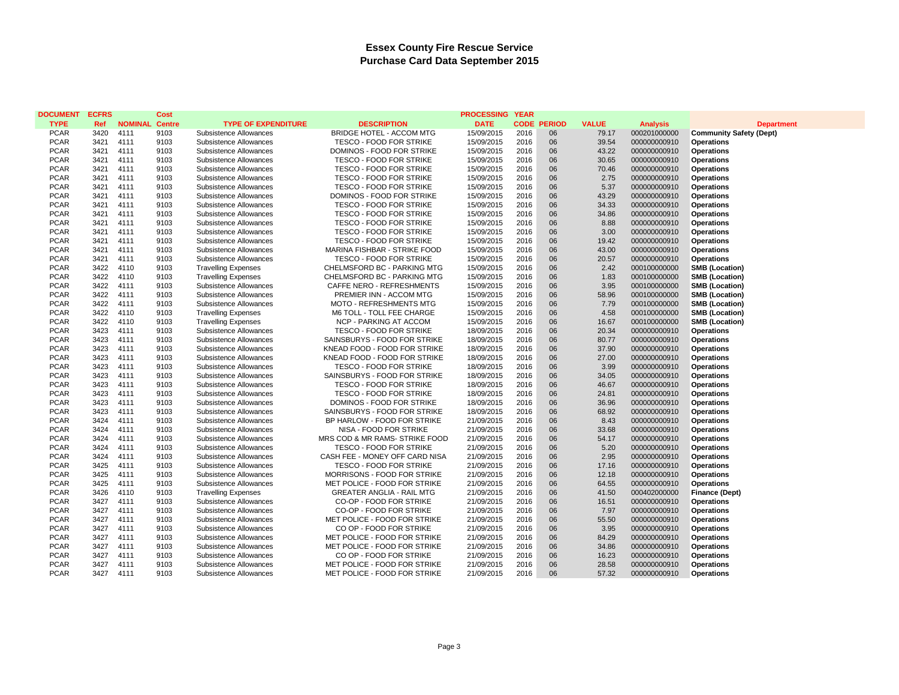| <b>DOCUMENT</b> | <b>ECFRS</b> |                | <b>Cost</b>   |                            |                                  | <b>PROCESSING</b> | <b>YEAR</b> |               |              |                 |                                |
|-----------------|--------------|----------------|---------------|----------------------------|----------------------------------|-------------------|-------------|---------------|--------------|-----------------|--------------------------------|
| <b>TYPE</b>     | Ref          | <b>NOMINAL</b> | <b>Centre</b> | <b>TYPE OF EXPENDITURE</b> | <b>DESCRIPTION</b>               | <b>DATE</b>       | <b>CODE</b> | <b>PERIOD</b> | <b>VALUE</b> | <b>Analysis</b> | <b>Department</b>              |
| <b>PCAR</b>     | 3420         | 4111           | 9103          | Subsistence Allowances     | <b>BRIDGE HOTEL - ACCOM MTG</b>  | 15/09/2015        | 2016        | 06            | 79.17        | 000201000000    | <b>Community Safety (Dept)</b> |
| <b>PCAR</b>     | 3421         | 4111           | 9103          | Subsistence Allowances     | <b>TESCO - FOOD FOR STRIKE</b>   | 15/09/2015        | 2016        | 06            | 39.54        | 000000000910    | <b>Operations</b>              |
| <b>PCAR</b>     | 3421         | 4111           | 9103          | Subsistence Allowances     | DOMINOS - FOOD FOR STRIKE        | 15/09/2015        | 2016        | 06            | 43.22        | 000000000910    | <b>Operations</b>              |
| <b>PCAR</b>     | 3421         | 4111           | 9103          | Subsistence Allowances     | TESCO - FOOD FOR STRIKE          | 15/09/2015        | 2016        | 06            | 30.65        | 000000000910    | <b>Operations</b>              |
| <b>PCAR</b>     | 3421         | 4111           | 9103          | Subsistence Allowances     | <b>TESCO - FOOD FOR STRIKE</b>   | 15/09/2015        | 2016        | 06            | 70.46        | 000000000910    | <b>Operations</b>              |
| <b>PCAR</b>     | 3421         | 4111           | 9103          | Subsistence Allowances     | <b>TESCO - FOOD FOR STRIKE</b>   | 15/09/2015        | 2016        | 06            | 2.75         | 000000000910    | Operations                     |
| <b>PCAR</b>     | 3421         | 4111           | 9103          | Subsistence Allowances     | <b>TESCO - FOOD FOR STRIKE</b>   | 15/09/2015        | 2016        | 06            | 5.37         | 000000000910    | <b>Operations</b>              |
| <b>PCAR</b>     | 3421         | 4111           | 9103          | Subsistence Allowances     | DOMINOS - FOOD FOR STRIKE        | 15/09/2015        | 2016        | 06            | 43.29        | 000000000910    | <b>Operations</b>              |
| <b>PCAR</b>     | 3421         | 4111           | 9103          | Subsistence Allowances     | <b>TESCO - FOOD FOR STRIKE</b>   | 15/09/2015        | 2016        | 06            | 34.33        | 000000000910    | <b>Operations</b>              |
| <b>PCAR</b>     | 3421         | 4111           | 9103          | Subsistence Allowances     | <b>TESCO - FOOD FOR STRIKE</b>   | 15/09/2015        | 2016        | 06            | 34.86        | 000000000910    | Operations                     |
| <b>PCAR</b>     | 3421         | 4111           | 9103          | Subsistence Allowances     | TESCO - FOOD FOR STRIKE          | 15/09/2015        | 2016        | 06            | 8.88         | 000000000910    | Operations                     |
| <b>PCAR</b>     | 3421         | 4111           | 9103          | Subsistence Allowances     | <b>TESCO - FOOD FOR STRIKE</b>   | 15/09/2015        | 2016        | 06            | 3.00         | 000000000910    | <b>Operations</b>              |
| <b>PCAR</b>     | 3421         | 4111           | 9103          | Subsistence Allowances     | TESCO - FOOD FOR STRIKE          | 15/09/2015        | 2016        | 06            | 19.42        | 000000000910    | <b>Operations</b>              |
| <b>PCAR</b>     | 3421         | 4111           | 9103          | Subsistence Allowances     | MARINA FISHBAR - STRIKE FOOD     | 15/09/2015        | 2016        | 06            | 43.00        | 000000000910    | <b>Operations</b>              |
| <b>PCAR</b>     | 3421         | 4111           | 9103          | Subsistence Allowances     | <b>TESCO - FOOD FOR STRIKE</b>   | 15/09/2015        | 2016        | 06            | 20.57        | 000000000910    | Operations                     |
| <b>PCAR</b>     | 3422         | 4110           | 9103          | <b>Travelling Expenses</b> | CHELMSFORD BC - PARKING MTG      | 15/09/2015        | 2016        | 06            | 2.42         | 000100000000    | <b>SMB (Location)</b>          |
| <b>PCAR</b>     | 3422         | 4110           | 9103          | <b>Travelling Expenses</b> | CHELMSFORD BC - PARKING MTG      | 15/09/2015        | 2016        | 06            | 1.83         | 000100000000    | <b>SMB (Location)</b>          |
| <b>PCAR</b>     | 3422         | 4111           | 9103          | Subsistence Allowances     | CAFFE NERO - REFRESHMENTS        | 15/09/2015        | 2016        | 06            | 3.95         | 000100000000    | <b>SMB (Location)</b>          |
| <b>PCAR</b>     | 3422         | 4111           | 9103          | Subsistence Allowances     | PREMIER INN - ACCOM MTG          | 15/09/2015        | 2016        | 06            | 58.96        | 000100000000    | <b>SMB (Location)</b>          |
| <b>PCAR</b>     | 3422         | 4111           | 9103          | Subsistence Allowances     | MOTO - REFRESHMENTS MTG          | 15/09/2015        | 2016        | 06            | 7.79         | 000100000000    | <b>SMB (Location)</b>          |
| <b>PCAR</b>     | 3422         | 4110           | 9103          | <b>Travelling Expenses</b> | M6 TOLL - TOLL FEE CHARGE        | 15/09/2015        | 2016        | 06            | 4.58         | 000100000000    | <b>SMB (Location)</b>          |
| <b>PCAR</b>     | 3422         | 4110           | 9103          | <b>Travelling Expenses</b> | <b>NCP - PARKING AT ACCOM</b>    | 15/09/2015        | 2016        | 06            | 16.67        | 000100000000    | <b>SMB (Location)</b>          |
| <b>PCAR</b>     | 3423         | 4111           | 9103          | Subsistence Allowances     | <b>TESCO - FOOD FOR STRIKE</b>   | 18/09/2015        | 2016        | 06            | 20.34        | 000000000910    | <b>Operations</b>              |
| <b>PCAR</b>     | 3423         | 4111           | 9103          | Subsistence Allowances     | SAINSBURYS - FOOD FOR STRIKE     | 18/09/2015        | 2016        | 06            | 80.77        | 000000000910    | <b>Operations</b>              |
| <b>PCAR</b>     | 3423         | 4111           | 9103          | Subsistence Allowances     | KNEAD FOOD - FOOD FOR STRIKE     | 18/09/2015        | 2016        | 06            | 37.90        | 000000000910    | <b>Operations</b>              |
| <b>PCAR</b>     | 3423         | 4111           | 9103          | Subsistence Allowances     | KNEAD FOOD - FOOD FOR STRIKE     | 18/09/2015        | 2016        | 06            | 27.00        | 000000000910    | <b>Operations</b>              |
| <b>PCAR</b>     | 3423         | 4111           | 9103          | Subsistence Allowances     | TESCO - FOOD FOR STRIKE          | 18/09/2015        | 2016        | 06            | 3.99         | 000000000910    | <b>Operations</b>              |
| <b>PCAR</b>     | 3423         | 4111           | 9103          | Subsistence Allowances     | SAINSBURYS - FOOD FOR STRIKE     | 18/09/2015        | 2016        | 06            | 34.05        | 000000000910    | Operations                     |
| <b>PCAR</b>     | 3423         | 4111           | 9103          | Subsistence Allowances     | <b>TESCO - FOOD FOR STRIKE</b>   | 18/09/2015        | 2016        | 06            | 46.67        | 000000000910    | Operations                     |
| <b>PCAR</b>     | 3423         | 4111           | 9103          | Subsistence Allowances     | TESCO - FOOD FOR STRIKE          | 18/09/2015        | 2016        | 06            | 24.81        | 000000000910    | <b>Operations</b>              |
| <b>PCAR</b>     | 3423         | 4111           | 9103          | Subsistence Allowances     | DOMINOS - FOOD FOR STRIKE        | 18/09/2015        | 2016        | 06            | 36.96        | 000000000910    | <b>Operations</b>              |
| <b>PCAR</b>     | 3423         | 4111           | 9103          | Subsistence Allowances     | SAINSBURYS - FOOD FOR STRIKE     | 18/09/2015        | 2016        | 06            | 68.92        | 000000000910    | <b>Operations</b>              |
| <b>PCAR</b>     | 3424         | 4111           | 9103          | Subsistence Allowances     | BP HARLOW - FOOD FOR STRIKE      | 21/09/2015        | 2016        | 06            | 8.43         | 000000000910    | <b>Operations</b>              |
| <b>PCAR</b>     | 3424         | 4111           | 9103          | Subsistence Allowances     | NISA - FOOD FOR STRIKE           | 21/09/2015        | 2016        | 06            | 33.68        | 000000000910    | <b>Operations</b>              |
| <b>PCAR</b>     | 3424         | 4111           | 9103          | Subsistence Allowances     | MRS COD & MR RAMS- STRIKE FOOD   | 21/09/2015        | 2016        | 06            | 54.17        | 000000000910    | <b>Operations</b>              |
| <b>PCAR</b>     | 3424         | 4111           | 9103          | Subsistence Allowances     | <b>TESCO - FOOD FOR STRIKE</b>   | 21/09/2015        | 2016        | 06            | 5.20         | 000000000910    | <b>Operations</b>              |
| <b>PCAR</b>     | 3424         | 4111           | 9103          | Subsistence Allowances     | CASH FEE - MONEY OFF CARD NISA   | 21/09/2015        | 2016        | 06            | 2.95         | 000000000910    | Operations                     |
| <b>PCAR</b>     | 3425         | 4111           | 9103          | Subsistence Allowances     | <b>TESCO - FOOD FOR STRIKE</b>   | 21/09/2015        | 2016        | 06            | 17.16        | 000000000910    | <b>Operations</b>              |
| <b>PCAR</b>     | 3425         | 4111           | 9103          | Subsistence Allowances     | MORRISONS - FOOD FOR STRIKE      | 21/09/2015        | 2016        | 06            | 12.18        | 000000000910    | <b>Operations</b>              |
| <b>PCAR</b>     | 3425         | 4111           | 9103          | Subsistence Allowances     | MET POLICE - FOOD FOR STRIKE     | 21/09/2015        | 2016        | 06            | 64.55        | 000000000910    | <b>Operations</b>              |
| <b>PCAR</b>     | 3426         | 4110           | 9103          | <b>Travelling Expenses</b> | <b>GREATER ANGLIA - RAIL MTG</b> | 21/09/2015        | 2016        | 06            | 41.50        | 000402000000    | Finance (Dept)                 |
| <b>PCAR</b>     | 3427         | 4111           | 9103          | Subsistence Allowances     | CO-OP - FOOD FOR STRIKE          | 21/09/2015        | 2016        | 06            | 16.51        | 000000000910    | <b>Operations</b>              |
| <b>PCAR</b>     | 3427         | 4111           | 9103          | Subsistence Allowances     | CO-OP - FOOD FOR STRIKE          | 21/09/2015        | 2016        | 06            | 7.97         | 000000000910    | Operations                     |
| <b>PCAR</b>     | 3427         | 4111           | 9103          | Subsistence Allowances     | MET POLICE - FOOD FOR STRIKE     | 21/09/2015        | 2016        | 06            | 55.50        | 000000000910    | <b>Operations</b>              |
| <b>PCAR</b>     | 3427         | 4111           | 9103          | Subsistence Allowances     | CO OP - FOOD FOR STRIKE          | 21/09/2015        | 2016        | 06            | 3.95         | 000000000910    | <b>Operations</b>              |
| <b>PCAR</b>     | 3427         | 4111           | 9103          | Subsistence Allowances     | MET POLICE - FOOD FOR STRIKE     | 21/09/2015        | 2016        | 06            | 84.29        | 000000000910    | <b>Operations</b>              |
| <b>PCAR</b>     | 3427         | 4111           | 9103          | Subsistence Allowances     | MET POLICE - FOOD FOR STRIKE     | 21/09/2015        | 2016        | 06            | 34.86        | 000000000910    | <b>Operations</b>              |
| <b>PCAR</b>     | 3427         | 4111           | 9103          | Subsistence Allowances     | CO OP - FOOD FOR STRIKE          | 21/09/2015        | 2016        | 06            | 16.23        | 000000000910    | <b>Operations</b>              |
| <b>PCAR</b>     | 3427         | 4111           | 9103          | Subsistence Allowances     | MET POLICE - FOOD FOR STRIKE     | 21/09/2015        | 2016        | 06            | 28.58        | 000000000910    | <b>Operations</b>              |
| <b>PCAR</b>     | 3427         | 4111           | 9103          | Subsistence Allowances     | MET POLICE - FOOD FOR STRIKE     | 21/09/2015        | 2016        | 06            | 57.32        | 000000000910    | <b>Operations</b>              |
|                 |              |                |               |                            |                                  |                   |             |               |              |                 |                                |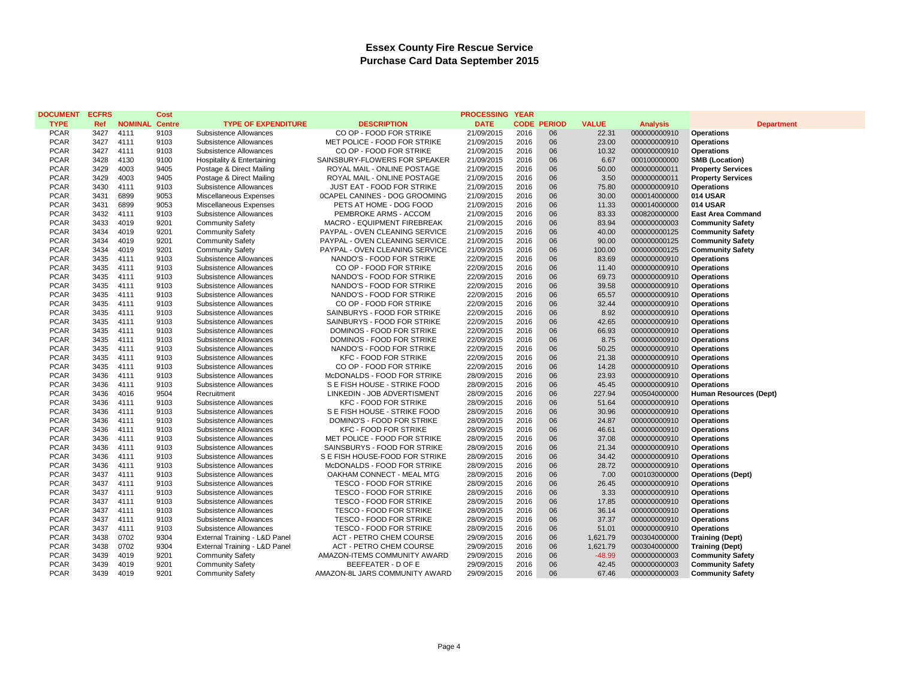| <b>DOCUMENT</b> | <b>ECFRS</b> |                | <b>Cost</b>   |                               |                                                    | <b>PROCESSING</b> | <b>YEAR</b> |                    |              |                 |                          |
|-----------------|--------------|----------------|---------------|-------------------------------|----------------------------------------------------|-------------------|-------------|--------------------|--------------|-----------------|--------------------------|
| <b>TYPE</b>     | <b>Ref</b>   | <b>NOMINAL</b> | <b>Centre</b> | <b>TYPE OF EXPENDITURE</b>    | <b>DESCRIPTION</b>                                 | <b>DATE</b>       |             | <b>CODE PERIOD</b> | <b>VALUE</b> | <b>Analysis</b> | <b>Department</b>        |
| <b>PCAR</b>     | 3427         | 4111           | 9103          | Subsistence Allowances        | CO OP - FOOD FOR STRIKE                            | 21/09/2015        | 2016        | 06                 | 22.31        | 000000000910    | <b>Operations</b>        |
| <b>PCAR</b>     | 3427         | 4111           | 9103          | Subsistence Allowances        | MET POLICE - FOOD FOR STRIKE                       | 21/09/2015        | 2016        | 06                 | 23.00        | 000000000910    | <b>Operations</b>        |
| <b>PCAR</b>     | 3427         | 4111           | 9103          | Subsistence Allowances        | CO OP - FOOD FOR STRIKE                            | 21/09/2015        | 2016        | 06                 | 10.32        | 000000000910    | <b>Operations</b>        |
| <b>PCAR</b>     | 3428         | 4130           | 9100          | Hospitality & Entertaining    | SAINSBURY-FLOWERS FOR SPEAKER                      | 21/09/2015        | 2016        | 06                 | 6.67         | 000100000000    | <b>SMB (Location)</b>    |
| <b>PCAR</b>     | 3429         | 4003           | 9405          | Postage & Direct Mailing      | ROYAL MAIL - ONLINE POSTAGE                        | 21/09/2015        | 2016        | 06                 | 50.00        | 000000000011    | <b>Property Services</b> |
| <b>PCAR</b>     | 3429         | 4003           | 9405          | Postage & Direct Mailing      | ROYAL MAIL - ONLINE POSTAGE                        | 21/09/2015        | 2016        | 06                 | 3.50         | 000000000011    | <b>Property Services</b> |
| <b>PCAR</b>     | 3430         | 4111           | 9103          | Subsistence Allowances        | <b>JUST EAT - FOOD FOR STRIKE</b>                  | 21/09/2015        | 2016        | 06                 | 75.80        | 000000000910    | <b>Operations</b>        |
| <b>PCAR</b>     | 3431         | 6899           | 9053          | Miscellaneous Expenses        | 0CAPEL CANINES - DOG GROOMING                      | 21/09/2015        | 2016        | 06                 | 30.00        | 000014000000    | 014 USAR                 |
| <b>PCAR</b>     | 3431         | 6899           | 9053          | Miscellaneous Expenses        | PETS AT HOME - DOG FOOD                            | 21/09/2015        | 2016        | 06                 | 11.33        | 000014000000    | 014 USAR                 |
| <b>PCAR</b>     | 3432         | 4111           | 9103          | Subsistence Allowances        | PEMBROKE ARMS - ACCOM                              | 21/09/2015        | 2016        | 06                 | 83.33        | 000820000000    | <b>East Area Command</b> |
| <b>PCAR</b>     | 3433         | 4019           | 9201          | <b>Community Safety</b>       | MACRO - EQUIPMENT FIREBREAK                        | 21/09/2015        | 2016        | 06                 | 83.94        | 000000000003    | <b>Community Safety</b>  |
| <b>PCAR</b>     | 3434         | 4019           | 9201          | <b>Community Safety</b>       | PAYPAL - OVEN CLEANING SERVICE                     | 21/09/2015        | 2016        | 06                 | 40.00        | 000000000125    | <b>Community Safety</b>  |
| <b>PCAR</b>     | 3434         | 4019           | 9201          | <b>Community Safety</b>       | PAYPAL - OVEN CLEANING SERVICE                     | 21/09/2015        | 2016        | 06                 | 90.00        | 000000000125    | <b>Community Safety</b>  |
| <b>PCAR</b>     | 3434         | 4019           | 9201          | <b>Community Safety</b>       | PAYPAL - OVEN CLEANING SERVICE                     | 21/09/2015        | 2016        | 06                 | 100.00       | 000000000125    | <b>Community Safety</b>  |
| <b>PCAR</b>     | 3435         | 4111           | 9103          | Subsistence Allowances        | NANDO'S - FOOD FOR STRIKE                          | 22/09/2015        | 2016        | 06                 | 83.69        | 000000000910    | <b>Operations</b>        |
| <b>PCAR</b>     | 3435         | 4111           | 9103          | Subsistence Allowances        | CO OP - FOOD FOR STRIKE                            | 22/09/2015        | 2016        | 06                 | 11.40        | 000000000910    | <b>Operations</b>        |
| <b>PCAR</b>     | 3435         | 4111           | 9103          | Subsistence Allowances        | NANDO'S - FOOD FOR STRIKE                          | 22/09/2015        | 2016        | 06                 | 69.73        | 000000000910    | Operations               |
| <b>PCAR</b>     | 3435         | 4111           | 9103          | Subsistence Allowances        | NANDO'S - FOOD FOR STRIKE                          | 22/09/2015        | 2016        | 06                 | 39.58        | 000000000910    | <b>Operations</b>        |
| <b>PCAR</b>     | 3435         | 4111           | 9103          | Subsistence Allowances        | NANDO'S - FOOD FOR STRIKE                          | 22/09/2015        | 2016        | 06                 | 65.57        | 000000000910    | <b>Operations</b>        |
| <b>PCAR</b>     | 3435         | 4111           | 9103          | Subsistence Allowances        | CO OP - FOOD FOR STRIKE                            | 22/09/2015        | 2016        | 06                 | 32.44        | 000000000910    | <b>Operations</b>        |
| <b>PCAR</b>     | 3435         | 4111           | 9103          | Subsistence Allowances        | SAINBURYS - FOOD FOR STRIKE                        | 22/09/2015        | 2016        | 06                 | 8.92         | 000000000910    | <b>Operations</b>        |
| <b>PCAR</b>     | 3435         | 4111           | 9103          | Subsistence Allowances        | SAINBURYS - FOOD FOR STRIKE                        | 22/09/2015        | 2016        | 06                 | 42.65        | 000000000910    | <b>Operations</b>        |
| <b>PCAR</b>     | 3435         | 4111           | 9103          | Subsistence Allowances        | DOMINOS - FOOD FOR STRIKE                          | 22/09/2015        | 2016        | 06                 | 66.93        | 000000000910    | Operations               |
| <b>PCAR</b>     | 3435         | 4111           | 9103          | Subsistence Allowances        | DOMINOS - FOOD FOR STRIKE                          | 22/09/2015        | 2016        | 06                 | 8.75         | 000000000910    | <b>Operations</b>        |
| <b>PCAR</b>     | 3435         | 4111           | 9103          | Subsistence Allowances        | NANDO'S - FOOD FOR STRIKE                          | 22/09/2015        | 2016        | 06                 | 50.25        | 000000000910    | <b>Operations</b>        |
| <b>PCAR</b>     | 3435         | 4111           | 9103          | Subsistence Allowances        | <b>KFC - FOOD FOR STRIKE</b>                       | 22/09/2015        | 2016        | 06                 | 21.38        | 000000000910    | <b>Operations</b>        |
| <b>PCAR</b>     | 3435         | 4111           | 9103          | Subsistence Allowances        | CO OP - FOOD FOR STRIKE                            | 22/09/2015        | 2016        | 06                 | 14.28        | 000000000910    | <b>Operations</b>        |
| <b>PCAR</b>     | 3436         | 4111           | 9103          | Subsistence Allowances        | McDONALDS - FOOD FOR STRIKE                        | 28/09/2015        | 2016        | 06                 | 23.93        | 000000000910    | <b>Operations</b>        |
| <b>PCAR</b>     | 3436         | 4111           | 9103          | Subsistence Allowances        | S E FISH HOUSE - STRIKE FOOD                       | 28/09/2015        | 2016        | 06                 | 45.45        | 000000000910    | <b>Operations</b>        |
| <b>PCAR</b>     | 3436         | 4016           | 9504          | Recruitment                   | LINKEDIN - JOB ADVERTISMENT                        | 28/09/2015        | 2016        | 06                 | 227.94       | 000504000000    | Human Resources (Dept)   |
| <b>PCAR</b>     | 3436         | 4111           | 9103          | Subsistence Allowances        | <b>KFC - FOOD FOR STRIKE</b>                       | 28/09/2015        | 2016        | 06                 | 51.64        | 000000000910    | <b>Operations</b>        |
| <b>PCAR</b>     | 3436         | 4111           | 9103          | Subsistence Allowances        | S E FISH HOUSE - STRIKE FOOD                       | 28/09/2015        | 2016        | 06                 | 30.96        | 000000000910    | <b>Operations</b>        |
| <b>PCAR</b>     | 3436         | 4111           | 9103          | Subsistence Allowances        | DOMINO'S - FOOD FOR STRIKE                         | 28/09/2015        | 2016        | 06                 | 24.87        | 000000000910    | <b>Operations</b>        |
| <b>PCAR</b>     | 3436         | 4111           | 9103          | Subsistence Allowances        | <b>KFC - FOOD FOR STRIKE</b>                       | 28/09/2015        | 2016        | 06                 | 46.61        | 000000000910    | <b>Operations</b>        |
| <b>PCAR</b>     | 3436         | 4111           | 9103          | Subsistence Allowances        | MET POLICE - FOOD FOR STRIKE                       | 28/09/2015        | 2016        | 06                 | 37.08        | 000000000910    | <b>Operations</b>        |
| <b>PCAR</b>     | 3436         | 4111           | 9103          | Subsistence Allowances        | SAINSBURYS - FOOD FOR STRIKE                       | 28/09/2015        | 2016        | 06                 | 21.34        | 000000000910    | <b>Operations</b>        |
| <b>PCAR</b>     | 3436         | 4111           | 9103          | Subsistence Allowances        | S E FISH HOUSE-FOOD FOR STRIKE                     | 28/09/2015        | 2016        | 06                 | 34.42        | 000000000910    | Operations               |
| <b>PCAR</b>     | 3436         | 4111           | 9103          | Subsistence Allowances        | McDONALDS - FOOD FOR STRIKE                        | 28/09/2015        | 2016        | 06                 | 28.72        | 000000000910    | Operations               |
| <b>PCAR</b>     | 3437         | 4111           | 9103          | Subsistence Allowances        | OAKHAM CONNECT - MEAL MTG                          | 28/09/2015        | 2016        | 06                 | 7.00         | 000103000000    | <b>Operations (Dept)</b> |
| <b>PCAR</b>     | 3437         | 4111           | 9103          | Subsistence Allowances        | <b>TESCO - FOOD FOR STRIKE</b>                     | 28/09/2015        | 2016        | 06                 | 26.45        | 000000000910    | <b>Operations</b>        |
| <b>PCAR</b>     | 3437         | 4111           | 9103          | Subsistence Allowances        | TESCO - FOOD FOR STRIKE                            | 28/09/2015        | 2016        | 06                 | 3.33         | 000000000910    | <b>Operations</b>        |
| <b>PCAR</b>     | 3437         | 4111           | 9103          | Subsistence Allowances        | TESCO - FOOD FOR STRIKE                            | 28/09/2015        | 2016        | 06                 | 17.85        | 000000000910    | <b>Operations</b>        |
| <b>PCAR</b>     | 3437         | 4111           | 9103          | Subsistence Allowances        | <b>TESCO - FOOD FOR STRIKE</b>                     | 28/09/2015        | 2016        | 06                 | 36.14        | 000000000910    | <b>Operations</b>        |
| <b>PCAR</b>     | 3437         | 4111           | 9103          | Subsistence Allowances        | <b>TESCO - FOOD FOR STRIKE</b>                     | 28/09/2015        | 2016        | 06                 | 37.37        | 000000000910    | Operations               |
| <b>PCAR</b>     | 3437         | 4111           | 9103          | Subsistence Allowances        | <b>TESCO - FOOD FOR STRIKE</b>                     | 28/09/2015        | 2016        | 06                 | 51.01        | 000000000910    | <b>Operations</b>        |
| <b>PCAR</b>     | 3438         | 0702           | 9304          |                               | <b>ACT - PETRO CHEM COURSE</b>                     |                   | 2016        | 06                 | 1,621.79     | 000304000000    |                          |
| <b>PCAR</b>     |              | 0702           |               | External Training - L&D Panel |                                                    | 29/09/2015        |             | 06                 |              |                 | <b>Training (Dept)</b>   |
| <b>PCAR</b>     | 3438         |                | 9304          | External Training - L&D Panel | <b>ACT - PETRO CHEM COURSE</b>                     | 29/09/2015        | 2016        | 06                 | 1,621.79     | 000304000000    | <b>Training (Dept)</b>   |
|                 | 3439         | 4019           | 9201          | <b>Community Safety</b>       | AMAZON-ITEMS COMMUNITY AWARD<br>BEEFEATER - D OF E | 29/09/2015        | 2016        | 06                 | $-48.99$     | 000000000003    | <b>Community Safety</b>  |
| <b>PCAR</b>     | 3439         | 4019           | 9201          | <b>Community Safety</b>       |                                                    | 29/09/2015        | 2016        |                    | 42.45        | 000000000003    | <b>Community Safety</b>  |
| <b>PCAR</b>     | 3439         | 4019           | 9201          | <b>Community Safety</b>       | AMAZON-8L JARS COMMUNITY AWARD                     | 29/09/2015        | 2016        | 06                 | 67.46        | 000000000003    | <b>Community Safety</b>  |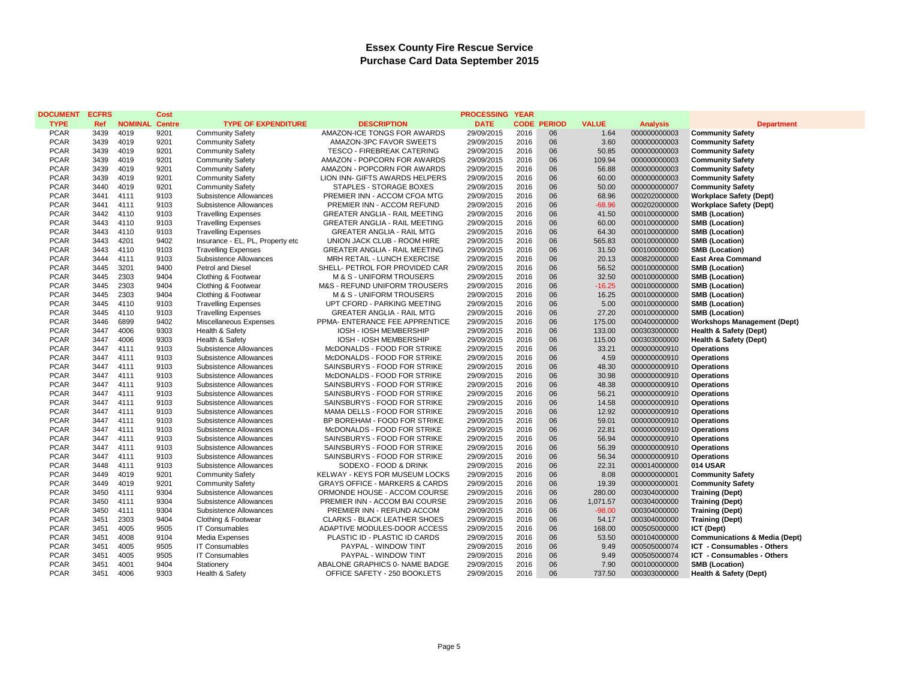| <b>DOCUMENT</b> | <b>ECFRS</b> |                | Cost          |                                  |                                           | <b>PROCESSING</b> | <b>YEAR</b> |                    |              |                 |                                          |
|-----------------|--------------|----------------|---------------|----------------------------------|-------------------------------------------|-------------------|-------------|--------------------|--------------|-----------------|------------------------------------------|
| <b>TYPE</b>     | Ref          | <b>NOMINAL</b> | <b>Centre</b> | <b>TYPE OF EXPENDITURE</b>       | <b>DESCRIPTION</b>                        | <b>DATE</b>       |             | <b>CODE PERIOD</b> | <b>VALUE</b> | <b>Analysis</b> | <b>Department</b>                        |
| <b>PCAR</b>     | 3439         | 4019           | 9201          | <b>Community Safety</b>          | AMAZON-ICE TONGS FOR AWARDS               | 29/09/2015        | 2016        | 06                 | 1.64         | 000000000003    | <b>Community Safety</b>                  |
| <b>PCAR</b>     | 3439         | 4019           | 9201          | <b>Community Safety</b>          | AMAZON-3PC FAVOR SWEETS                   | 29/09/2015        | 2016        | 06                 | 3.60         | 000000000003    | <b>Community Safety</b>                  |
| <b>PCAR</b>     | 3439         | 4019           | 9201          | <b>Community Safety</b>          | TESCO - FIREBREAK CATERING                | 29/09/2015        | 2016        | 06                 | 50.85        | 000000000003    | <b>Community Safety</b>                  |
| <b>PCAR</b>     | 3439         | 4019           | 9201          | <b>Community Safety</b>          | AMAZON - POPCORN FOR AWARDS               | 29/09/2015        | 2016        | 06                 | 109.94       | 000000000003    | <b>Community Safety</b>                  |
| <b>PCAR</b>     | 3439         | 4019           | 9201          | <b>Community Safety</b>          | AMAZON - POPCORN FOR AWARDS               | 29/09/2015        | 2016        | 06                 | 56.88        | 000000000003    | <b>Community Safety</b>                  |
| <b>PCAR</b>     | 3439         | 4019           | 9201          | <b>Community Safety</b>          | LION INN- GIFTS AWARDS HELPERS            | 29/09/2015        | 2016        | 06                 | 60.00        | 000000000003    | <b>Community Safety</b>                  |
| <b>PCAR</b>     | 3440         | 4019           | 9201          | <b>Community Safety</b>          | STAPLES - STORAGE BOXES                   | 29/09/2015        | 2016        | 06                 | 50.00        | 000000000007    | <b>Community Safety</b>                  |
| <b>PCAR</b>     | 3441         | 4111           | 9103          | Subsistence Allowances           | PREMIER INN - ACCOM CFOA MTG              | 29/09/2015        | 2016        | 06                 | 68.96        | 000202000000    | <b>Workplace Safety (Dept)</b>           |
| <b>PCAR</b>     | 3441         | 4111           | 9103          | Subsistence Allowances           | PREMIER INN - ACCOM REFUND                | 29/09/2015        | 2016        | 06                 | $-68.96$     | 000202000000    | <b>Workplace Safety (Dept)</b>           |
| <b>PCAR</b>     | 3442         | 4110           | 9103          | <b>Travelling Expenses</b>       | <b>GREATER ANGLIA - RAIL MEETING</b>      | 29/09/2015        | 2016        | 06                 | 41.50        | 000100000000    | <b>SMB (Location)</b>                    |
| <b>PCAR</b>     | 3443         | 4110           | 9103          | <b>Travelling Expenses</b>       | <b>GREATER ANGLIA - RAIL MEETING</b>      | 29/09/2015        | 2016        | 06                 | 60.00        | 000100000000    | <b>SMB (Location)</b>                    |
| <b>PCAR</b>     | 3443         | 4110           | 9103          | <b>Travelling Expenses</b>       | <b>GREATER ANGLIA - RAIL MTG</b>          | 29/09/2015        | 2016        | 06                 | 64.30        | 000100000000    | <b>SMB (Location)</b>                    |
| <b>PCAR</b>     | 3443         | 4201           | 9402          | Insurance - EL, PL, Property etc | UNION JACK CLUB - ROOM HIRE               | 29/09/2015        | 2016        | 06                 | 565.83       | 000100000000    | <b>SMB (Location)</b>                    |
| <b>PCAR</b>     | 3443         | 4110           | 9103          | <b>Travelling Expenses</b>       | <b>GREATER ANGLIA - RAIL MEETING</b>      | 29/09/2015        | 2016        | 06                 | 31.50        | 000100000000    | <b>SMB (Location)</b>                    |
| <b>PCAR</b>     | 3444         | 4111           | 9103          | Subsistence Allowances           | MRH RETAIL - LUNCH EXERCISE               | 29/09/2015        | 2016        | 06                 | 20.13        | 000820000000    | <b>East Area Command</b>                 |
| <b>PCAR</b>     | 3445         | 3201           | 9400          | Petrol and Diesel                | SHELL- PETROL FOR PROVIDED CAR            | 29/09/2015        | 2016        | 06                 | 56.52        | 000100000000    | <b>SMB (Location)</b>                    |
| <b>PCAR</b>     | 3445         | 2303           | 9404          | Clothing & Footwear              | M & S - UNIFORM TROUSERS                  | 29/09/2015        | 2016        | 06                 | 32.50        | 000100000000    | <b>SMB (Location)</b>                    |
| <b>PCAR</b>     | 3445         | 2303           | 9404          | Clothing & Footwear              | M&S - REFUND UNIFORM TROUSERS             | 29/09/2015        | 2016        | 06                 | $-16.25$     | 000100000000    | <b>SMB (Location)</b>                    |
| <b>PCAR</b>     | 3445         | 2303           | 9404          | Clothing & Footwear              | <b>M &amp; S - UNIFORM TROUSERS</b>       | 29/09/2015        | 2016        | 06                 | 16.25        | 000100000000    | <b>SMB (Location)</b>                    |
| <b>PCAR</b>     | 3445         | 4110           | 9103          | <b>Travelling Expenses</b>       | UPT CFORD - PARKING MEETING               | 29/09/2015        | 2016        | 06                 | 5.00         | 000100000000    | <b>SMB (Location)</b>                    |
| <b>PCAR</b>     | 3445         | 4110           | 9103          | <b>Travelling Expenses</b>       | <b>GREATER ANGLIA - RAIL MTG</b>          | 29/09/2015        | 2016        | 06                 | 27.20        | 000100000000    | <b>SMB (Location)</b>                    |
| <b>PCAR</b>     | 3446         | 6899           | 9402          | Miscellaneous Expenses           | PPMA- ENTERANCE FEE APPRENTICE            | 29/09/2015        | 2016        | 06                 | 175.00       | 000400000000    | <b>Workshops Management (Dept)</b>       |
| <b>PCAR</b>     | 3447         | 4006           | 9303          | Health & Safety                  | <b>IOSH - IOSH MEMBERSHIP</b>             | 29/09/2015        | 2016        | 06                 | 133.00       | 000303000000    | Health & Safety (Dept)                   |
| <b>PCAR</b>     | 3447         | 4006           | 9303          | Health & Safety                  | <b>IOSH - IOSH MEMBERSHIP</b>             | 29/09/2015        | 2016        | 06                 | 115.00       | 000303000000    | Health & Safety (Dept)                   |
| <b>PCAR</b>     | 3447         | 4111           | 9103          | Subsistence Allowances           | McDONALDS - FOOD FOR STRIKE               | 29/09/2015        | 2016        | 06                 | 33.21        | 000000000910    | Operations                               |
| <b>PCAR</b>     | 3447         | 4111           | 9103          | Subsistence Allowances           | McDONALDS - FOOD FOR STRIKE               | 29/09/2015        | 2016        | 06                 | 4.59         | 000000000910    | <b>Operations</b>                        |
| <b>PCAR</b>     | 3447         | 4111           | 9103          | Subsistence Allowances           | SAINSBURYS - FOOD FOR STRIKE              | 29/09/2015        | 2016        | 06                 | 48.30        | 000000000910    | <b>Operations</b>                        |
| <b>PCAR</b>     | 3447         | 4111           | 9103          | Subsistence Allowances           | McDONALDS - FOOD FOR STRIKE               | 29/09/2015        | 2016        | 06                 | 30.98        | 000000000910    | <b>Operations</b>                        |
| <b>PCAR</b>     | 3447         | 4111           | 9103          | Subsistence Allowances           | SAINSBURYS - FOOD FOR STRIKE              | 29/09/2015        | 2016        | 06                 | 48.38        | 000000000910    | <b>Operations</b>                        |
| <b>PCAR</b>     | 3447         | 4111           | 9103          | Subsistence Allowances           | SAINSBURYS - FOOD FOR STRIKE              | 29/09/2015        | 2016        | 06                 | 56.21        | 000000000910    | Operations                               |
| <b>PCAR</b>     | 3447         | 4111           | 9103          | Subsistence Allowances           | SAINSBURYS - FOOD FOR STRIKE              | 29/09/2015        | 2016        | 06                 | 14.58        | 000000000910    | <b>Operations</b>                        |
| <b>PCAR</b>     | 3447         | 4111           | 9103          | Subsistence Allowances           | MAMA DELLS - FOOD FOR STRIKE              | 29/09/2015        | 2016        | 06                 | 12.92        | 000000000910    | <b>Operations</b>                        |
| <b>PCAR</b>     | 3447         | 4111           | 9103          | Subsistence Allowances           | BP BOREHAM - FOOD FOR STRIKE              | 29/09/2015        | 2016        | 06                 | 59.01        | 000000000910    | <b>Operations</b>                        |
| <b>PCAR</b>     | 3447         | 4111           | 9103          | Subsistence Allowances           | McDONALDS - FOOD FOR STRIKE               | 29/09/2015        | 2016        | 06                 | 22.81        | 000000000910    | <b>Operations</b>                        |
| <b>PCAR</b>     | 3447         | 4111           | 9103          | Subsistence Allowances           | SAINSBURYS - FOOD FOR STRIKE              | 29/09/2015        | 2016        | 06                 | 56.94        | 000000000910    | <b>Operations</b>                        |
| <b>PCAR</b>     | 3447         | 4111           | 9103          | Subsistence Allowances           | SAINSBURYS - FOOD FOR STRIKE              | 29/09/2015        | 2016        | 06                 | 56.39        | 000000000910    | <b>Operations</b>                        |
| <b>PCAR</b>     | 3447         | 4111           | 9103          | Subsistence Allowances           | SAINSBURYS - FOOD FOR STRIKE              | 29/09/2015        | 2016        | 06                 | 56.34        | 000000000910    | <b>Operations</b>                        |
| <b>PCAR</b>     | 3448         | 4111           | 9103          | Subsistence Allowances           | SODEXO - FOOD & DRINK                     | 29/09/2015        | 2016        | 06                 | 22.31        | 000014000000    | 014 USAR                                 |
| <b>PCAR</b>     | 3449         | 4019           | 9201          | <b>Community Safety</b>          | <b>KELWAY - KEYS FOR MUSEUM LOCKS</b>     | 29/09/2015        | 2016        | 06                 | 8.08         | 000000000001    | <b>Community Safety</b>                  |
| <b>PCAR</b>     | 3449         | 4019           | 9201          | <b>Community Safety</b>          | <b>GRAYS OFFICE - MARKERS &amp; CARDS</b> | 29/09/2015        | 2016        | 06                 | 19.39        | 000000000001    | <b>Community Safety</b>                  |
| <b>PCAR</b>     | 3450         | 4111           | 9304          | Subsistence Allowances           | ORMONDE HOUSE - ACCOM COURSE              | 29/09/2015        | 2016        | 06                 | 280.00       | 000304000000    | <b>Training (Dept)</b>                   |
| <b>PCAR</b>     | 3450         | 4111           | 9304          | Subsistence Allowances           | PREMIER INN - ACCOM BAI COURSE            | 29/09/2015        | 2016        | 06                 | 1,071.57     | 000304000000    | <b>Training (Dept)</b>                   |
| <b>PCAR</b>     | 3450         | 4111           | 9304          | Subsistence Allowances           | PREMIER INN - REFUND ACCOM                | 29/09/2015        | 2016        | 06                 | $-98.00$     | 000304000000    | <b>Training (Dept)</b>                   |
| <b>PCAR</b>     | 3451         | 2303           | 9404          | Clothing & Footwear              | <b>CLARKS - BLACK LEATHER SHOES</b>       | 29/09/2015        | 2016        | 06                 | 54.17        | 000304000000    | <b>Training (Dept)</b>                   |
| <b>PCAR</b>     | 3451         | 4005           | 9505          | <b>IT Consumables</b>            | ADAPTIVE MODULES-DOOR ACCESS              | 29/09/2015        | 2016        | 06                 | 168.00       | 000505000000    | ICT (Dept)                               |
| <b>PCAR</b>     | 3451         | 4008           | 9104          | Media Expenses                   | PLASTIC ID - PLASTIC ID CARDS             | 29/09/2015        | 2016        | 06                 | 53.50        | 000104000000    | <b>Communications &amp; Media (Dept)</b> |
| <b>PCAR</b>     | 3451         | 4005           | 9505          | <b>IT Consumables</b>            | PAYPAL - WINDOW TINT                      | 29/09/2015        | 2016        | 06                 | 9.49         | 000505000074    | ICT - Consumables - Others               |
| <b>PCAR</b>     | 3451         | 4005           | 9505          | <b>IT Consumables</b>            | PAYPAL - WINDOW TINT                      | 29/09/2015        | 2016        | 06                 | 9.49         | 000505000074    | ICT - Consumables - Others               |
| <b>PCAR</b>     | 3451         | 4001           | 9404          | Stationery                       | ABALONE GRAPHICS 0- NAME BADGE            | 29/09/2015        | 2016        | 06                 | 7.90         | 000100000000    | <b>SMB (Location)</b>                    |
| <b>PCAR</b>     | 3451         | 4006           | 9303          | Health & Safety                  | OFFICE SAFETY - 250 BOOKLETS              | 29/09/2015        | 2016        | 06                 | 737.50       | 000303000000    | Health & Safety (Dept)                   |